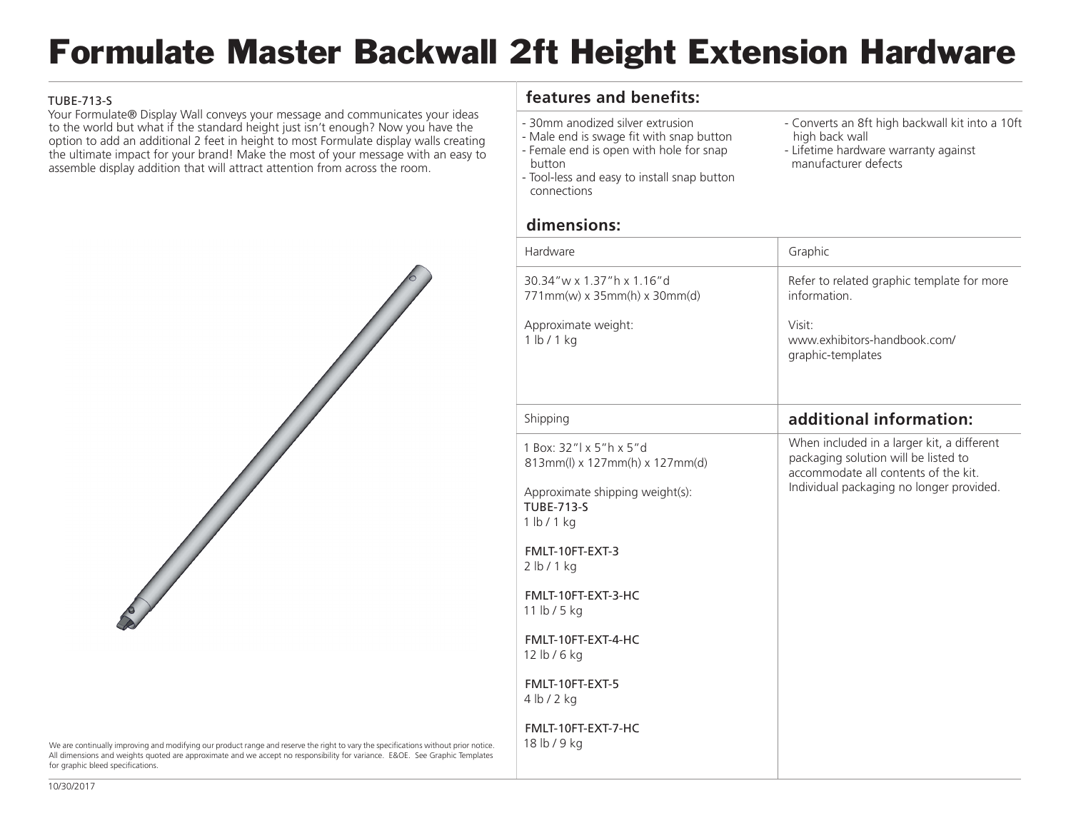## Formulate Master Backwall 2ft Height Extension Hardware

## TUBE-713-S

Your Formulate® Display Wall conveys your message and communicates your ideas to the world but what if the standard height just isn't enough? Now you have the option to add an additional 2 feet in height to most Formulate display walls creating the ultimate impact for your brand! Make the most of your message with an easy to assemble display addition that will attract attention from across the room.



- 30mm anodized silver extrusion
- Male end is swage fit with snap button - Female end is open with hole for snap
- button
- Tool-less and easy to install snap button connections

**dimensions:**

- Converts an 8ft high backwall kit into a 10ft high back wall
- Lifetime hardware warranty against manufacturer defects



We are continually improving and modifying our product range and reserve the right to vary the specifications without prior notice. All dimensions and weights quoted are approximate and we accept no responsibility for variance. E&OE. See Graphic Templates for graphic bleed specifications.

| Hardware                                                          | Graphic                                                                                                                                                                |
|-------------------------------------------------------------------|------------------------------------------------------------------------------------------------------------------------------------------------------------------------|
| 30.34"w x 1.37"h x 1.16"d<br>771mm(w) x 35mm(h) x 30mm(d)         | Refer to related graphic template for more<br>information                                                                                                              |
| Approximate weight:<br>1 lb/1 kg                                  | Visit:<br>www.exhibitors-handbook.com/<br>graphic-templates                                                                                                            |
| Shipping                                                          | additional information:                                                                                                                                                |
| 1 Box: 32"l x 5"h x 5"d<br>813mm(l) x 127mm(h) x 127mm(d)         | When included in a larger kit, a different<br>packaging solution will be listed to<br>accommodate all contents of the kit.<br>Individual packaging no longer provided. |
| Approximate shipping weight(s):<br><b>TUBE-713-S</b><br>1 lb/1 kg |                                                                                                                                                                        |
| FMLT-10FT-EXT-3<br>2 lb/1 kg                                      |                                                                                                                                                                        |
| FMLT-10FT-EXT-3-HC<br>11 lb / 5 kg                                |                                                                                                                                                                        |
| FMLT-10FT-EXT-4-HC<br>12 lb / 6 kg                                |                                                                                                                                                                        |
| FMLT-10FT-EXT-5<br>4 lb / 2 kg                                    |                                                                                                                                                                        |
| FMLT-10FT-EXT-7-HC<br>18 lb / 9 kg                                |                                                                                                                                                                        |
|                                                                   |                                                                                                                                                                        |